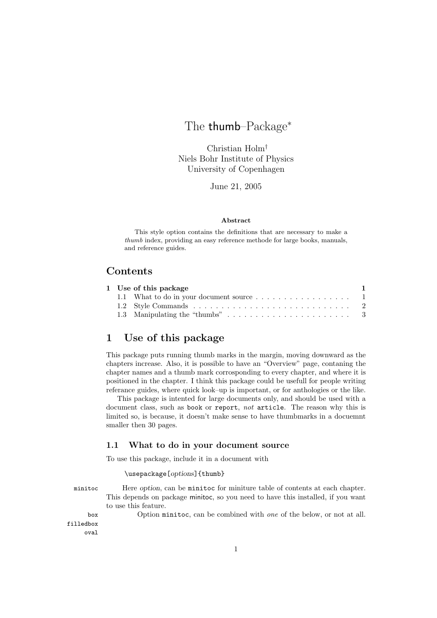# The thumb–Package<sup>∗</sup>

Christian Holm† Niels Bohr Institute of Physics University of Copenhagen

June 21, 2005

#### **Abstract**

This style option contains the definitions that are necessary to make a *thumb* index, providing an easy reference methode for large books, manuals, and reference guides.

### **Contents**

|  | 1 Use of this package                    |  |
|--|------------------------------------------|--|
|  | 1.1 What to do in your document source 1 |  |
|  |                                          |  |
|  |                                          |  |

## **1 Use of this package**

This package puts running thumb marks in the margin, moving downward as the chapters increase. Also, it is possible to have an "Overview" page, contaning the chapter names and a thumb mark corrosponding to every chapter, and where it is positioned in the chapter. I think this package could be usefull for people writing referance guides, where quick look–up is important, or for anthologies or the like.

This package is intented for large documents only, and should be used with a document class, such as book or report, *not* article. The reason why this is limited so, is because, it doesn't make sense to have thumbmarks in a docuemnt smaller then 30 pages.

#### **1.1 What to do in your document source**

To use this package, include it in a document with

\usepackage[*options*]{thumb}

minitoc Here *option*, can be minitoc for miniture table of contents at each chapter. This depends on package minitoc, so you need to have this installed, if you want to use this feature.

box Option minitoc, can be combined with *one* of the below, or not at all.

filledbox oval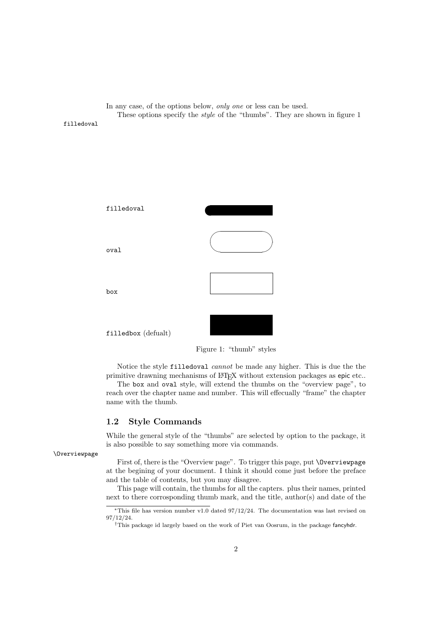In any case, of the options below, *only one* or less can be used. These options specify the *style* of the "thumbs". They are shown in figure 1

filledoval



Figure 1: "thumb" styles

Notice the style filledoval *cannot* be made any higher. This is due the the primitive drawning mechanisms of LAT<sub>E</sub>X without extension packages as epic etc..

The box and oval style, will extend the thumbs on the "overview page", to reach over the chapter name and number. This will effecually "frame" the chapter name with the thumb.

#### **1.2 Style Commands**

While the general style of the "thumbs" are selected by option to the package, it is also possible to say something more via commands.

#### \Overviewpage

First of, there is the "Overview page". To trigger this page, put \Overviewpage at the begining of your document. I think it should come just before the preface and the table of contents, but you may disagree.

This page will contain, the thumbs for all the capters. plus their names, printed next to there corrosponding thumb mark, and the title, author(s) and date of the

<sup>∗</sup>This file has version number v1.0 dated 97/12/24. The documentation was last revised on 97/12/24.

<sup>†</sup>This package id largely based on the work of Piet van Oosrum, in the package fancyhdr.